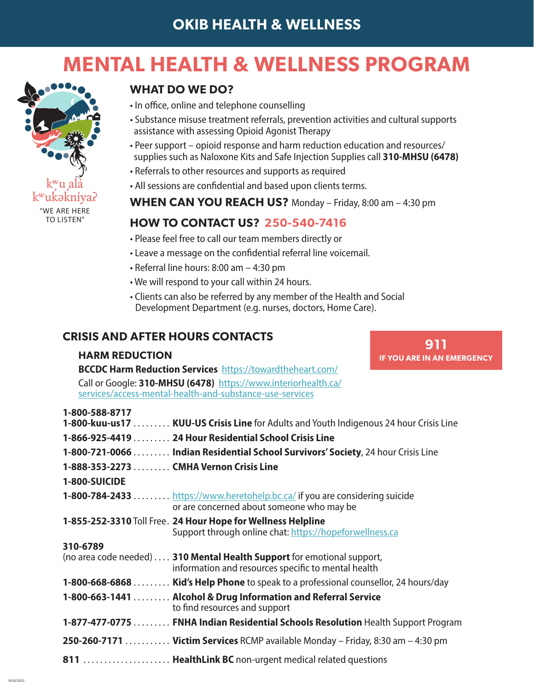# **MENTAL HEALTH & WELLNESS PROGRAM**



16/02/2022

#### **WHAT DO WE DO?**

- In office, online and telephone counselling
- Substance misuse treatment referrals, prevention activities and cultural supports assistance with assessing Opioid Agonist Therapy
- Peer support opioid response and harm reduction education and resources/ supplies such as Naloxone Kits and Safe Injection Supplies call **310-MHSU (6478)**
- Referrals to other resources and supports as required
- All sessions are confidential and based upon clients terms.
- **WHEN CAN YOU REACH US?** Monday Friday, 8:00 am 4:30 pm

#### **HOW TO CONTACT US? 250-540-7416**

- Please feel free to call our team members directly or
- Leave a message on the confidential referral line voicemail.
- Referral line hours: 8:00 am 4:30 pm
- We will respond to your call within 24 hours.
- Clients can also be referred by any member of the Health and Social Development Department (e.g. nurses, doctors, Home Care).

### **CRISIS AND AFTER HOURS CONTACTS**

#### **HARM REDUCTION**

**911 IF YOU ARE IN AN EMERGENCY**

**BCCDC Harm Reduction Services** https://towardtheheart.com/ Call or Google: **310-MHSU (6478)** https://www.interiorhealth.ca/ services/access-mental-health-and-substance-use-services

| 1-800-588-8717                         | 1-800-kuu-us17  KUU-US Crisis Line for Adults and Youth Indigenous 24 hour Crisis Line                                           |
|----------------------------------------|----------------------------------------------------------------------------------------------------------------------------------|
|                                        | 1-866-925-4419  24 Hour Residential School Crisis Line                                                                           |
|                                        |                                                                                                                                  |
|                                        | 1-800-721-0066 Indian Residential School Survivors' Society, 24 hour Crisis Line                                                 |
| 1-888-353-2273 CMHA Vernon Crisis Line |                                                                                                                                  |
| 1-800-SUICIDE                          |                                                                                                                                  |
|                                        | <b>1-800-784-2433</b> https://www.heretohelp.bc.ca/ if you are considering suicide<br>or are concerned about someone who may be  |
|                                        | 1-855-252-3310 Toll Free. 24 Hour Hope for Wellness Helpline<br>Support through online chat: https://hopeforwellness.ca          |
| 310-6789                               |                                                                                                                                  |
|                                        | (no area code needed)  . 310 Mental Health Support for emotional support,<br>information and resources specific to mental health |
|                                        | <b>1-800-668-6868 Kid's Help Phone</b> to speak to a professional counsellor, 24 hours/day                                       |
|                                        | 1-800-663-1441  Alcohol & Drug Information and Referral Service<br>to find resources and support                                 |
|                                        | 1-877-477-0775  FNHA Indian Residential Schools Resolution Health Support Program                                                |
|                                        | 250-260-7171  Victim Services RCMP available Monday – Friday, 8:30 am – 4:30 pm                                                  |
|                                        | 811  HealthLink BC non-urgent medical related questions                                                                          |